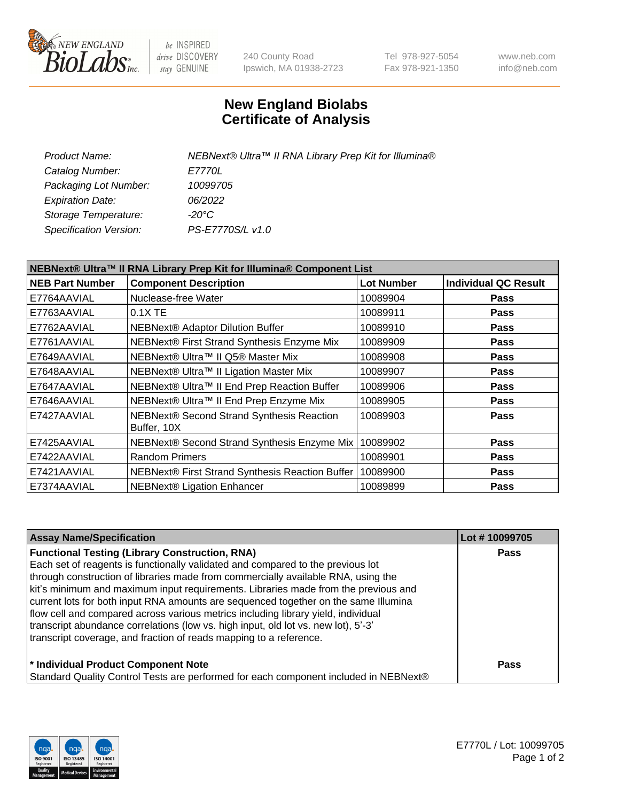

be INSPIRED drive DISCOVERY stay GENUINE

240 County Road Ipswich, MA 01938-2723 Tel 978-927-5054 Fax 978-921-1350 www.neb.com info@neb.com

## **New England Biolabs Certificate of Analysis**

| <b>Product Name:</b>    | NEBNext® Ultra™ II RNA Library Prep Kit for Illumina® |
|-------------------------|-------------------------------------------------------|
| Catalog Number:         | <i>E7770L</i>                                         |
| Packaging Lot Number:   | 10099705                                              |
| <b>Expiration Date:</b> | 06/2022                                               |
| Storage Temperature:    | -20°C                                                 |
| Specification Version:  | PS-E7770S/L v1.0                                      |
|                         |                                                       |

| NEBNext® Ultra™ II RNA Library Prep Kit for Illumina® Component List |                                                            |                   |                             |  |
|----------------------------------------------------------------------|------------------------------------------------------------|-------------------|-----------------------------|--|
| <b>NEB Part Number</b>                                               | <b>Component Description</b>                               | <b>Lot Number</b> | <b>Individual QC Result</b> |  |
| E7764AAVIAL                                                          | Nuclease-free Water                                        | 10089904          | <b>Pass</b>                 |  |
| E7763AAVIAL                                                          | 0.1X TE                                                    | 10089911          | <b>Pass</b>                 |  |
| E7762AAVIAL                                                          | <b>NEBNext® Adaptor Dilution Buffer</b>                    | 10089910          | <b>Pass</b>                 |  |
| E7761AAVIAL                                                          | NEBNext® First Strand Synthesis Enzyme Mix                 | 10089909          | <b>Pass</b>                 |  |
| E7649AAVIAL                                                          | NEBNext® Ultra™ II Q5® Master Mix                          | 10089908          | <b>Pass</b>                 |  |
| E7648AAVIAL                                                          | NEBNext® Ultra™ II Ligation Master Mix                     | 10089907          | <b>Pass</b>                 |  |
| E7647AAVIAL                                                          | NEBNext® Ultra™ II End Prep Reaction Buffer                | 10089906          | <b>Pass</b>                 |  |
| E7646AAVIAL                                                          | NEBNext® Ultra™ II End Prep Enzyme Mix                     | 10089905          | <b>Pass</b>                 |  |
| E7427AAVIAL                                                          | NEBNext® Second Strand Synthesis Reaction<br>Buffer, 10X   | 10089903          | <b>Pass</b>                 |  |
| E7425AAVIAL                                                          | NEBNext® Second Strand Synthesis Enzyme Mix                | 10089902          | <b>Pass</b>                 |  |
| E7422AAVIAL                                                          | <b>Random Primers</b>                                      | 10089901          | <b>Pass</b>                 |  |
| E7421AAVIAL                                                          | NEBNext® First Strand Synthesis Reaction Buffer   10089900 |                   | <b>Pass</b>                 |  |
| E7374AAVIAL                                                          | NEBNext® Ligation Enhancer                                 | 10089899          | <b>Pass</b>                 |  |

| <b>Assay Name/Specification</b>                                                      | Lot #10099705 |
|--------------------------------------------------------------------------------------|---------------|
| <b>Functional Testing (Library Construction, RNA)</b>                                | <b>Pass</b>   |
| Each set of reagents is functionally validated and compared to the previous lot      |               |
| through construction of libraries made from commercially available RNA, using the    |               |
| kit's minimum and maximum input requirements. Libraries made from the previous and   |               |
| current lots for both input RNA amounts are sequenced together on the same Illumina  |               |
| flow cell and compared across various metrics including library yield, individual    |               |
| transcript abundance correlations (low vs. high input, old lot vs. new lot), 5'-3'   |               |
| transcript coverage, and fraction of reads mapping to a reference.                   |               |
| * Individual Product Component Note                                                  | <b>Pass</b>   |
| Standard Quality Control Tests are performed for each component included in NEBNext® |               |